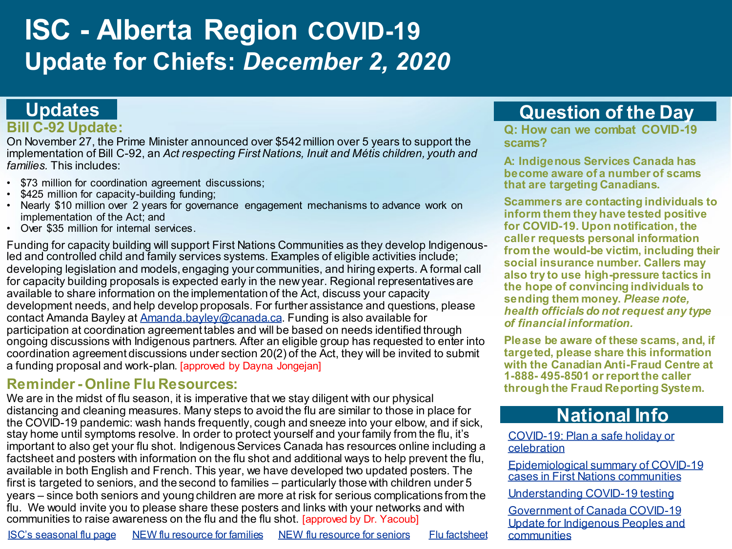# **ISC - Alberta Region COVID-19 Update for Chiefs:** *December 2, 2020*

# **Updates**

#### **Bill C-92 Update:**

On November 27, the Prime Minister announced over \$542 million over 5 years to support the implementation of Bill C-92, an *Act respecting First Nations, Inuit and Métis children, youth and families.* This includes:

- \$73 million for coordination agreement discussions;
- \$425 million for capacity-building funding;
- Nearly \$10 million over 2 years for governance engagement mechanisms to advance work on implementation of the Act; and
- Over \$35 million for internal services.

Funding for capacity building will support First Nations Communities as they develop Indigenousled and controlled child and family services systems. Examples of eligible activities include; developing legislation and models, engaging your communities, and hiring experts. A formal call for capacity building proposals is expected early in the new year. Regional representatives are available to share information on the implementation of the Act, discuss your capacity development needs, and help develop proposals. For further assistance and questions, please contact Amanda Bayley at [Amanda.bayley@canada.ca.](mailto:Amanda.bayley@canada.ca) Funding is also available for participation at coordination agreement tables and will be based on needs identified through ongoing discussions with Indigenous partners. After an eligible group has requested to enter into coordination agreement discussions under section 20(2) of the Act, they will be invited to submit a funding proposal and work-plan. [approved by Dayna Jongejan]

### **Reminder - Online Flu Resources:**

We are in the midst of flu season, it is imperative that we stay diligent with our physical distancing and cleaning measures. Many steps to avoid the flu are similar to those in place for the COVID-19 pandemic: wash hands frequently, cough and sneeze into your elbow, and if sick, stay home until symptoms resolve. In order to protect yourself and your family from the flu, it's important to also get your flu shot. Indigenous Services Canada has resources online including a factsheet and posters with information on the flu shot and additional ways to help prevent the flu, available in both English and French. This year, we have developed two updated posters. The first is targeted to seniors, and the second to families – particularly those with children under 5 years – since both seniors and young children are more at risk for serious complications from the flu. We would invite you to please share these posters and links with your networks and with communities to raise awareness on the flu and the flu shot. [approved by Dr. Yacoub]

#### **A: Indigenous Services Canada has become aware of a number of scams**

**scams?**

**Scammers are contacting individuals to inform them they have tested positive for COVID-19. Upon notification, the caller requests personal information from the would-be victim, including their social insurance number. Callers may also try to use high-pressure tactics in the hope of convincing individuals to sending them money.** *Please note, health officials do not request any type of financial information.* 

**Q: How can we combat COVID-19** 

**Question of the Day**

**that are targeting Canadians.** 

**Please be aware of these scams, and, if targeted, please share this information with the Canadian Anti-Fraud Centre at 1-888- 495-8501 or report the caller through the Fraud Reporting System.** 

# **National Info**

[COVID-19: Plan a safe holiday or](https://www.canada.ca/en/public-health/services/diseases/2019-novel-coronavirus-infection/guidance-documents/plan-safe-holiday-celebration.html#a6)  celebration

[Epidemiological summary of COVID-19](https://www.sac-isc.gc.ca/eng/1589895506010/1589895527965)  cases in First Nations communities

[Understanding COVID-19 testing](https://www.canada.ca/en/public-health/services/publications/diseases-conditions/understanding-covid-19-testing.html)

Government of Canada COVID-19 Update for Indigenous Peoples and<br>communities